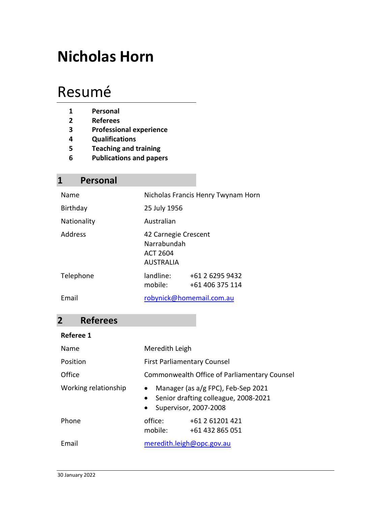# **Nicholas Horn**

# Resumé

- **1 Personal**
- **2 Referees**
- **3 Professional experience**
- **4 Qualifications**
- **5 Teaching and training**
- **6 Publications and papers**

### **1 Personal**

| Name        |                                                                     | Nicholas Francis Henry Twynam Horn |
|-------------|---------------------------------------------------------------------|------------------------------------|
| Birthday    | 25 July 1956                                                        |                                    |
| Nationality | Australian                                                          |                                    |
| Address     | 42 Carnegie Crescent<br>Narrabundah<br>ACT 2604<br><b>AUSTRALIA</b> |                                    |
| Telephone   | landline:<br>mobile:                                                | +61 2 6295 9432<br>+61 406 375 114 |
| Email       |                                                                     | robynick@homemail.com.au           |

### **2 Referees**

#### **Referee 1**

| Name                 | Meredith Leigh                     |                                                                                                       |
|----------------------|------------------------------------|-------------------------------------------------------------------------------------------------------|
| Position             | <b>First Parliamentary Counsel</b> |                                                                                                       |
| Office               |                                    | Commonwealth Office of Parliamentary Counsel                                                          |
| Working relationship | $\bullet$<br>$\bullet$             | Manager (as a/g FPC), Feb-Sep 2021<br>• Senior drafting colleague, 2008-2021<br>Supervisor, 2007-2008 |
| Phone                | office:<br>mobile:                 | +61 2 61201 421<br>+61 432 865 051                                                                    |
| Email                | meredith.leigh@opc.gov.au          |                                                                                                       |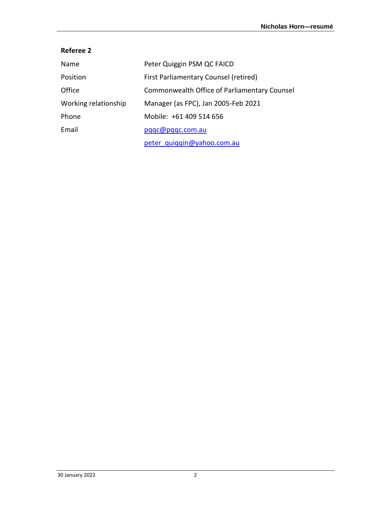#### **Referee 2**

| Name                 | Peter Quiggin PSM QC FAICD                   |
|----------------------|----------------------------------------------|
| Position             | First Parliamentary Counsel (retired)        |
| Office               | Commonwealth Office of Parliamentary Counsel |
| Working relationship | Manager (as FPC), Jan 2005-Feb 2021          |
| Phone                | Mobile: +61 409 514 656                      |
| Email                | pqqc@pqqc.com.au                             |
|                      | peter quiqqin@yahoo.com.au                   |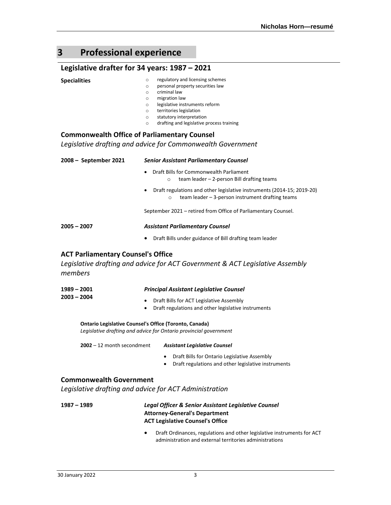## **3 Professional experience**

#### **Legislative drafter for 34 years: 1987 – 2021**

| Legislative dialter for 54 years. 1967 – 2021                                                                                                                                                                                                                                                                                                                                                                                                             |
|-----------------------------------------------------------------------------------------------------------------------------------------------------------------------------------------------------------------------------------------------------------------------------------------------------------------------------------------------------------------------------------------------------------------------------------------------------------|
| regulatory and licensing schemes<br>$\circ$<br>personal property securities law<br>$\circ$<br>criminal law<br>$\circ$<br>migration law<br>$\circ$<br>legislative instruments reform<br>$\circ$<br>territories legislation<br>$\circ$<br>statutory interpretation<br>$\circ$<br>drafting and legislative process training<br>$\circ$<br><b>Commonwealth Office of Parliamentary Counsel</b><br>Legislative drafting and advice for Commonwealth Government |
|                                                                                                                                                                                                                                                                                                                                                                                                                                                           |
| <b>Senior Assistant Parliamentary Counsel</b>                                                                                                                                                                                                                                                                                                                                                                                                             |
| Draft Bills for Commonwealth Parliament<br>$\bullet$<br>team leader - 2-person Bill drafting teams<br>$\Omega$                                                                                                                                                                                                                                                                                                                                            |
| Draft regulations and other legislative instruments (2014-15; 2019-20)<br>team leader $-$ 3-person instrument drafting teams<br>$\circ$                                                                                                                                                                                                                                                                                                                   |
| September 2021 - retired from Office of Parliamentary Counsel.                                                                                                                                                                                                                                                                                                                                                                                            |
| <b>Assistant Parliamentary Counsel</b>                                                                                                                                                                                                                                                                                                                                                                                                                    |
| Draft Bills under guidance of Bill drafting team leader                                                                                                                                                                                                                                                                                                                                                                                                   |
| <b>ACT Parliamentary Counsel's Office</b><br>Legislative drafting and advice for ACT Government & ACT Legislative Assembly                                                                                                                                                                                                                                                                                                                                |
|                                                                                                                                                                                                                                                                                                                                                                                                                                                           |

| $1989 - 2001$ | <b>Principal Assistant Legislative Counsel</b>                                                  |
|---------------|-------------------------------------------------------------------------------------------------|
| $2003 - 2004$ | Draft Bills for ACT Legislative Assembly<br>Draft regulations and other legislative instruments |
|               |                                                                                                 |

**Ontario Legislative Counsel's Office (Toronto, Canada)** *Legislative drafting and advice for Ontario provincial government*

**2002** – 12 month secondment *Assistant Legislative Counsel*

- Draft Bills for Ontario Legislative Assembly
- Draft regulations and other legislative instruments

#### **Commonwealth Government**

*Legislative drafting and advice for ACT Administration*

| 1987 – 1989 | Legal Officer & Senior Assistant Legislative Counsel |
|-------------|------------------------------------------------------|
|             | <b>Attorney-General's Department</b>                 |
|             | <b>ACT Legislative Counsel's Office</b>              |

• Draft Ordinances, regulations and other legislative instruments for ACT administration and external territories administrations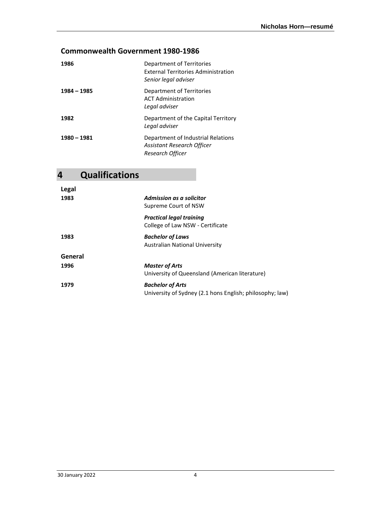#### **Commonwealth Government 1980-1986**

| 1986        | Department of Territories<br><b>External Territories Administration</b><br>Senior legal adviser |
|-------------|-------------------------------------------------------------------------------------------------|
| 1984 - 1985 | Department of Territories<br><b>ACT Administration</b><br>Legal adviser                         |
| 1982        | Department of the Capital Territory<br>Legal adviser                                            |
| 1980 - 1981 | Department of Industrial Relations<br>Assistant Research Officer<br>Research Officer            |

## **4 Qualifications**

| Legal   |                                                          |
|---------|----------------------------------------------------------|
| 1983    | Admission as a solicitor                                 |
|         | Supreme Court of NSW                                     |
|         | <b>Practical legal training</b>                          |
|         | College of Law NSW - Certificate                         |
| 1983    | <b>Bachelor of Laws</b>                                  |
|         | Australian National University                           |
| General |                                                          |
| 1996    | <b>Master of Arts</b>                                    |
|         | University of Queensland (American literature)           |
| 1979    | <b>Bachelor of Arts</b>                                  |
|         | University of Sydney (2.1 hons English; philosophy; law) |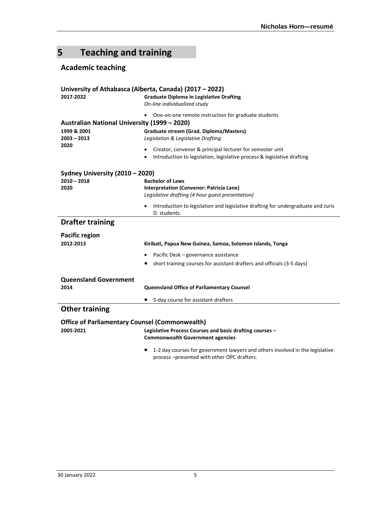## **5 Teaching and training**

#### **Academic teaching**

|                                                       | University of Athabasca (Alberta, Canada) (2017 – 2022)                          |  |  |
|-------------------------------------------------------|----------------------------------------------------------------------------------|--|--|
| 2017-2022                                             | <b>Graduate Diploma in Legislative Drafting</b>                                  |  |  |
|                                                       | On-line individualized study                                                     |  |  |
|                                                       | One-on-one remote instruction for graduate students                              |  |  |
| Australian National University (1999 - 2020)          |                                                                                  |  |  |
| 1999 & 2001                                           | Graduate stream (Grad. Diploma/Masters)                                          |  |  |
| $2003 - 2013$                                         | Legislation & Legislative Drafting                                               |  |  |
| 2020                                                  |                                                                                  |  |  |
|                                                       | Creator, convenor & principal lecturer for semester unit                         |  |  |
|                                                       | Introduction to legislation, legislative process & legislative drafting          |  |  |
|                                                       |                                                                                  |  |  |
| Sydney University (2010 - 2020)<br>$2010 - 2018$      |                                                                                  |  |  |
| 2020                                                  | <b>Bachelor of Laws</b><br>Interpretation (Convenor: Patricia Lane)              |  |  |
|                                                       | Legislative drafting (4 hour guest presentation)                                 |  |  |
|                                                       |                                                                                  |  |  |
|                                                       | Introduction to legislation and legislative drafting for undergraduate and Juris |  |  |
|                                                       | D. students.                                                                     |  |  |
| <b>Drafter training</b>                               |                                                                                  |  |  |
| <b>Pacific region</b>                                 |                                                                                  |  |  |
| 2012-2013                                             | Kiribati, Papua New Guinea, Samoa, Solomon Islands, Tonga                        |  |  |
|                                                       |                                                                                  |  |  |
|                                                       | Pacific Desk - governance assistance                                             |  |  |
|                                                       | short training courses for assistant drafters and officials (3-5 days)           |  |  |
|                                                       |                                                                                  |  |  |
| <b>Queensland Government</b>                          |                                                                                  |  |  |
| 2014                                                  | <b>Queensland Office of Parliamentary Counsel</b>                                |  |  |
|                                                       | 5-day course for assistant drafters                                              |  |  |
| <b>Other training</b>                                 |                                                                                  |  |  |
| <b>Office of Parliamentary Counsel (Commonwealth)</b> |                                                                                  |  |  |
| 2005-2021                                             | Legislative Process Courses and basic drafting courses -                         |  |  |
|                                                       | <b>Commonwealth Government agencies</b>                                          |  |  |
|                                                       |                                                                                  |  |  |
|                                                       | 1-2 day courses for government lawyers and others involved in the legislative    |  |  |
|                                                       | process-presented with other OPC drafters.                                       |  |  |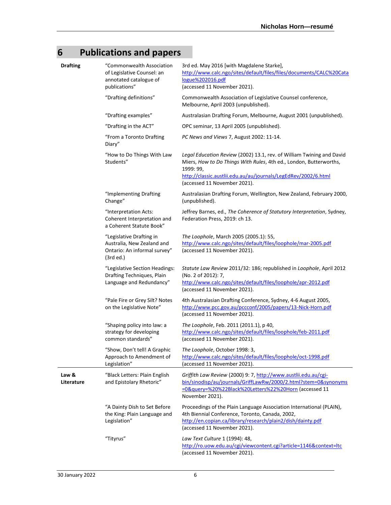## **6 Publications and papers**

| <b>Drafting</b>     | "Commonwealth Association<br>of Legislative Counsel: an<br>annotated catalogue of<br>publications"  | 3rd ed. May 2016 [with Magdalene Starke],<br>http://www.calc.ngo/sites/default/files/files/documents/CALC%20Cata<br>logue%202016.pdf<br>(accessed 11 November 2021).                                                                                       |
|---------------------|-----------------------------------------------------------------------------------------------------|------------------------------------------------------------------------------------------------------------------------------------------------------------------------------------------------------------------------------------------------------------|
|                     | "Drafting definitions"                                                                              | Commonwealth Association of Legislative Counsel conference,<br>Melbourne, April 2003 (unpublished).                                                                                                                                                        |
|                     | "Drafting examples"                                                                                 | Australasian Drafting Forum, Melbourne, August 2001 (unpublished).                                                                                                                                                                                         |
|                     | "Drafting in the ACT"                                                                               | OPC seminar, 13 April 2005 (unpublished).                                                                                                                                                                                                                  |
|                     | "From a Toronto Drafting<br>Diary"                                                                  | PC News and Views 7, August 2002: 11-14.                                                                                                                                                                                                                   |
|                     | "How to Do Things With Law<br>Students"                                                             | Legal Education Review (2002) 13.1, rev. of William Twining and David<br>Miers, How to Do Things With Rules, 4th ed., London, Butterworths,<br>1999: 99,<br>http://classic.austlii.edu.au/au/journals/LegEdRev/2002/6.html<br>(accessed 11 November 2021). |
|                     | "Implementing Drafting<br>Change"                                                                   | Australasian Drafting Forum, Wellington, New Zealand, February 2000,<br>(unpublished).                                                                                                                                                                     |
|                     | "Interpretation Acts:<br>Coherent Interpretation and<br>a Coherent Statute Book"                    | Jeffrey Barnes, ed., The Coherence of Statutory Interpretation, Sydney,<br>Federation Press, 2019: ch 13.                                                                                                                                                  |
|                     | "Legislative Drafting in<br>Australia, New Zealand and<br>Ontario: An informal survey"<br>(3rd ed.) | The Loophole, March 2005 (2005.1): 55,<br>http://www.calc.ngo/sites/default/files/loophole/mar-2005.pdf<br>(accessed 11 November 2021).                                                                                                                    |
|                     | "Legislative Section Headings:<br>Drafting Techniques, Plain<br>Language and Redundancy"            | Statute Law Review 2011/32: 186; republished in Loophole, April 2012<br>(No. 2 of 2012): 7,<br>http://www.calc.ngo/sites/default/files/loophole/apr-2012.pdf<br>(accessed 11 November 2021).                                                               |
|                     | "Pale Fire or Grey Silt? Notes<br>on the Legislative Note"                                          | 4th Australasian Drafting Conference, Sydney, 4-6 August 2005,<br>http://www.pcc.gov.au/pccconf/2005/papers/13-Nick-Horn.pdf<br>(accessed 11 November 2021).                                                                                               |
|                     | "Shaping policy into law: a<br>strategy for developing<br>common standards"                         | The Loophole, Feb. 2011 (2011.1), p 40,<br>http://www.calc.ngo/sites/default/files/loophole/feb-2011.pdf<br>(accessed 11 November 2021).                                                                                                                   |
|                     | "Show, Don't tell! A Graphic<br>Approach to Amendment of<br>Legislation"                            | The Loophole, October 1998: 3,<br>http://www.calc.ngo/sites/default/files/loophole/oct-1998.pdf<br>(accessed 11 November 2021).                                                                                                                            |
| Law &<br>Literature | "Black Letters: Plain English<br>and Epistolary Rhetoric"                                           | Griffith Law Review (2000) 9: 7, http://www.austlii.edu.au/cgi-<br>bin/sinodisp/au/journals/GriffLawRw/2000/2.html?stem=0&synonyms<br>=0&query=%20%22Black%20Letters%22%20Horn (accessed 11<br>November 2021).                                             |
|                     | "A Dainty Dish to Set Before<br>the King: Plain Language and<br>Legislation"                        | Proceedings of the Plain Language Association International (PLAIN),<br>4th Biennial Conference, Toronto, Canada, 2002,<br>http://en.copian.ca/library/research/plain2/dish/dainty.pdf<br>(accessed 11 November 2021).                                     |
|                     | "Tityrus"                                                                                           | Law Text Culture 1 (1994): 48,<br>http://ro.uow.edu.au/cgi/viewcontent.cgi?article=1146&context=ltc<br>(accessed 11 November 2021).                                                                                                                        |